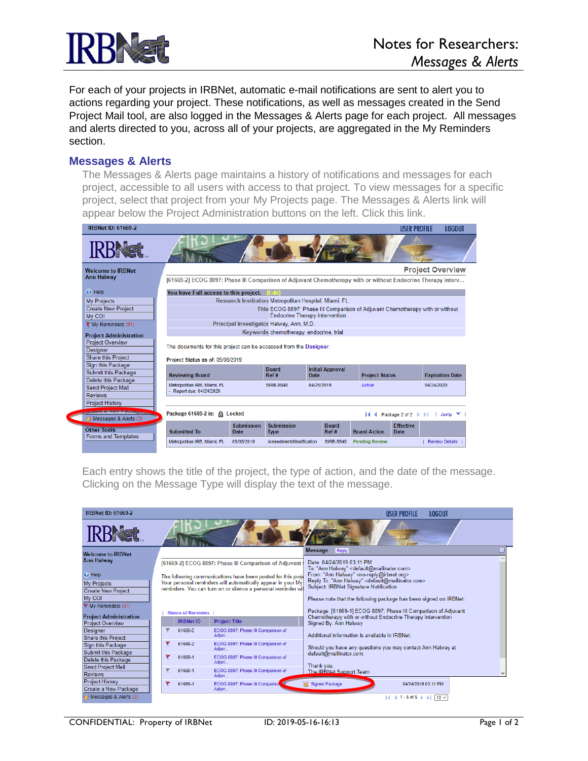

For each of your projects in IRBNet, automatic e-mail notifications are sent to alert you to actions regarding your project. These notifications, as well as messages created in the Send Project Mail tool, are also logged in the Messages & Alerts page for each project. All messages and alerts directed to you, across all of your projects, are aggregated in the My Reminders section.

## **Messages & Alerts**

The Messages & Alerts page maintains a history of notifications and messages for each project, accessible to all users with access to that project. To view messages for a specific project, select that project from your My Projects page. The Messages & Alerts link will appear below the Project Administration buttons on the left. Click this link.



Each entry shows the title of the project, the type of action, and the date of the message. Clicking on the Message Type will display the text of the message.

| <b>IRBNet ID: 61669-2</b>                      |   |                              |                                                               | <b>LOGOUT</b><br><b>USER PROFILE</b>                                                                                          |  |  |  |  |  |
|------------------------------------------------|---|------------------------------|---------------------------------------------------------------|-------------------------------------------------------------------------------------------------------------------------------|--|--|--|--|--|
| <b>IRBNat</b>                                  |   |                              |                                                               |                                                                                                                               |  |  |  |  |  |
| <b>Welcome to IRBNet</b>                       |   |                              |                                                               | <b>Message</b><br><b>Reply</b>                                                                                                |  |  |  |  |  |
| <b>Ann Halway</b>                              |   |                              | [61669-2] ECOG 8897: Phase III Comparison of Adjuvant         | Date: 04/24/2019 03:11 PM<br>To: "Ann Halway" < default@mailinator.com>                                                       |  |  |  |  |  |
| <b>O</b> Help                                  |   |                              | The following communications have been posted for this proje  | From: "Ann Halway" <no-reply@irbnet.org></no-reply@irbnet.org>                                                                |  |  |  |  |  |
| <b>My Projects</b>                             |   |                              | Your personal reminders will automatically appear in your My  | Reply To: "Ann Halway" < default@mailinator.com><br>Subject: IRBNet Signature Notification                                    |  |  |  |  |  |
| <b>Create New Project</b>                      |   |                              | reminders. You can turn on or silence a personal reminder wit |                                                                                                                               |  |  |  |  |  |
| My COI                                         |   |                              |                                                               | Please note that the following package has been signed on IRBNet:                                                             |  |  |  |  |  |
| → My Reminders (91)                            |   |                              |                                                               |                                                                                                                               |  |  |  |  |  |
| <b>Project Administration</b>                  |   | <b>Silence All Reminders</b> |                                                               | Package: [61669-1] ECOG 8897: Phase III Comparison of Adjuvant<br>Chemotherapy with or without Endocrine Therapy intervention |  |  |  |  |  |
| <b>Project Overview</b>                        |   | <b>IRBNet ID</b>             | <b>Project Title</b>                                          | Signed By: Ann Halway                                                                                                         |  |  |  |  |  |
| <b>Designer</b>                                |   | 61669-2                      | ECOG 8897: Phase III Comparison of                            |                                                                                                                               |  |  |  |  |  |
| <b>Share this Project</b>                      |   |                              | Adjuv                                                         | Additional information is available in IRBNet.                                                                                |  |  |  |  |  |
| Sign this Package                              |   | 61669-2                      | ECOG 8897: Phase III Comparison of<br>Adiuv                   | Should you have any questions you may contact Ann Halway at                                                                   |  |  |  |  |  |
| Submit this Package                            |   | 61669-1                      | ECOG 8897: Phase III Comparison of                            | default@mailinator.com.                                                                                                       |  |  |  |  |  |
| Delete this Package                            |   |                              | Adiuv                                                         | Thank you.                                                                                                                    |  |  |  |  |  |
| Send Project Mail<br><b>Reviews</b>            |   | 61669-1                      | ECOG 8897: Phase III Comparison of<br>Adjuv                   | The IRBNet Support Team                                                                                                       |  |  |  |  |  |
| <b>Project History</b><br>Create a New Package | ۴ | 61669-1                      | ECOG 8897: Phase III Compariso<br>Adiuv                       | Signed Package<br>04/24/2019 03:11 PM                                                                                         |  |  |  |  |  |
| in Messages & Alerts (3)                       |   |                              |                                                               | $ 4$ 4 1-5 of 5 $ $ $ $ $ $ $ $ 10 $\vee$                                                                                     |  |  |  |  |  |